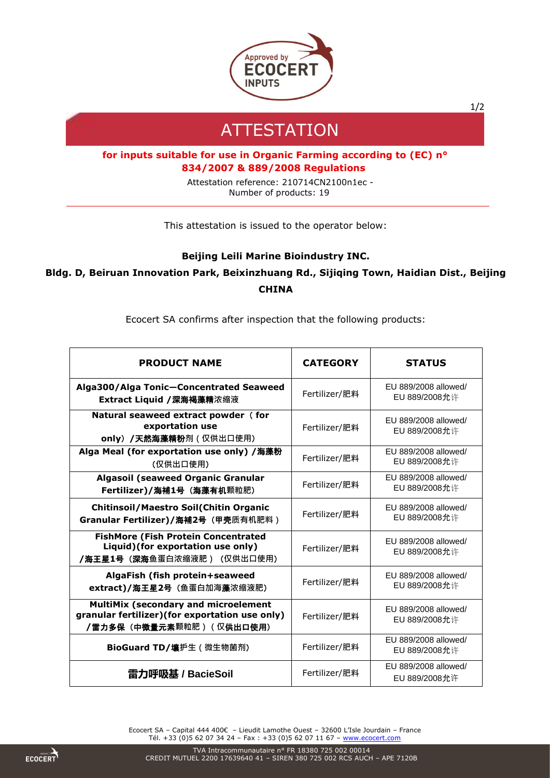

1/2

## **ATTESTATION**

## **for inputs suitable for use in Organic Farming according to (EC) n° 834/2007 & 889/2008 Regulations**

Attestation reference: 210714CN2100n1ec - Number of products: 19

This attestation is issued to the operator below:

## **Beijing Leili Marine Bioindustry INC.**

## **Bldg. D, Beiruan Innovation Park, Beixinzhuang Rd., Sijiqing Town, Haidian Dist., Beijing CHINA**

Ecocert SA confirms after inspection that the following products:

| <b>PRODUCT NAME</b>                                                                                                                       | <b>CATEGORY</b> | <b>STATUS</b>                                |
|-------------------------------------------------------------------------------------------------------------------------------------------|-----------------|----------------------------------------------|
| Alga300/Alga Tonic-Concentrated Seaweed<br>Extract Liquid /深海褐藻精浓缩液                                                                       | Fertilizer/肥料   | EU 889/2008 allowed/<br><b>EU 889/2008允许</b> |
| Natural seaweed extract powder (for<br>exportation use<br>only) /天然海藻精粉剂 (仅供出口使用)                                                         | Fertilizer/肥料   | EU 889/2008 allowed/<br><b>EU 889/2008允许</b> |
| Alga Meal (for exportation use only) /海藻粉<br>(仅供出口使用)                                                                                     | Fertilizer/肥料   | EU 889/2008 allowed/<br>EU 889/2008允许        |
| <b>Algasoil (seaweed Organic Granular</b><br>Fertilizer)/海補1号 (海藻有机颗粒肥)                                                                   | Fertilizer/肥料   | EU 889/2008 allowed/<br>EU 889/2008允许        |
| <b>Chitinsoil/Maestro Soil(Chitin Organic</b><br>Granular Fertilizer)/海補2号 (甲壳质有机肥料)                                                      | Fertilizer/肥料   | EU 889/2008 allowed/<br>EU 889/2008允许        |
| <b>FishMore (Fish Protein Concentrated</b><br>Liquid)(for exportation use only)<br><b>/海王星1号(深海</b> 鱼蛋白浓缩液肥)(仅供出口使用)                      | Fertilizer/肥料   | EU 889/2008 allowed/<br>EU 889/2008允许        |
| AlgaFish (fish protein+seaweed<br>extract)/海王星2号(鱼蛋白加海藻浓缩液肥)                                                                              | Fertilizer/肥料   | EU 889/2008 allowed/<br>EU 889/2008允许        |
| <b>MultiMix (secondary and microelement</b><br>granular fertilizer)(for exportation use only)<br><b>/雷力多保(中微量元素</b> 颗粒肥)(仅 <b>供出口使用</b> ) | Fertilizer/肥料   | EU 889/2008 allowed/<br><b>EU 889/2008允许</b> |
| BioGuard TD/壤护生 ( 微生物菌剂)                                                                                                                  | Fertilizer/肥料   | EU 889/2008 allowed/<br>EU 889/2008允许        |
| 雷力呼吸基 / BacieSoil                                                                                                                         | Fertilizer/肥料   | EU 889/2008 allowed/<br>EU 889/2008允许        |

Ecocert SA – Capital 444 400€ – Lieudit Lamothe Ouest – 32600 L'Isle Jourdain – France Tél. +33 (0)5 62 07 34 24 - Fax : +33 (0)5 62 07 11 67 - [www.ecocert.com](http://www.ecocert.com/)